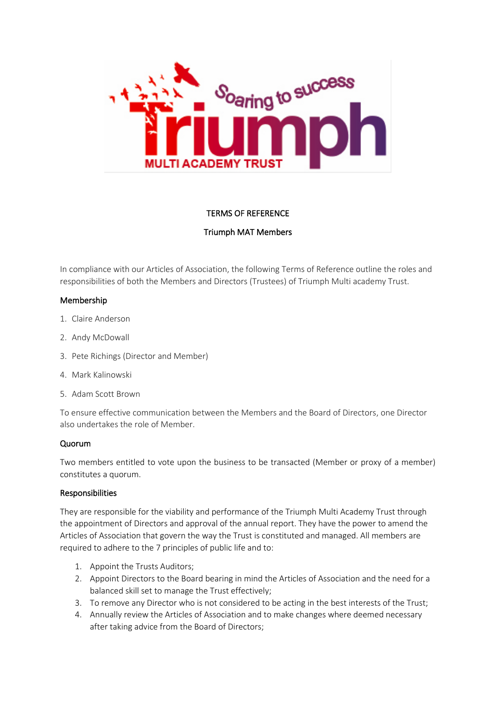

# TERMS OF REFERENCE

# Triumph MAT Members

In compliance with our Articles of Association, the following Terms of Reference outline the roles and responsibilities of both the Members and Directors (Trustees) of Triumph Multi academy Trust.

### Membership

- 1. Claire Anderson
- 2. Andy McDowall
- 3. Pete Richings (Director and Member)
- 4. Mark Kalinowski
- 5. Adam Scott Brown

To ensure effective communication between the Members and the Board of Directors, one Director also undertakes the role of Member.

# Quorum

Two members entitled to vote upon the business to be transacted (Member or proxy of a member) constitutes a quorum.

#### Responsibilities

They are responsible for the viability and performance of the Triumph Multi Academy Trust through the appointment of Directors and approval of the annual report. They have the power to amend the Articles of Association that govern the way the Trust is constituted and managed. All members are required to adhere to the 7 principles of public life and to:

- 1. Appoint the Trusts Auditors;
- 2. Appoint Directors to the Board bearing in mind the Articles of Association and the need for a balanced skill set to manage the Trust effectively;
- 3. To remove any Director who is not considered to be acting in the best interests of the Trust;
- 4. Annually review the Articles of Association and to make changes where deemed necessary after taking advice from the Board of Directors;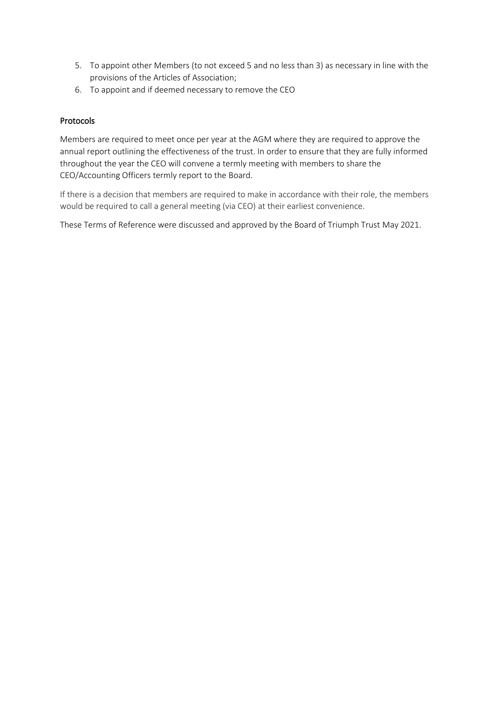- 5. To appoint other Members (to not exceed 5 and no less than 3) as necessary in line with the provisions of the Articles of Association;
- 6. To appoint and if deemed necessary to remove the CEO

# Protocols

Members are required to meet once per year at the AGM where they are required to approve the annual report outlining the effectiveness of the trust. In order to ensure that they are fully informed throughout the year the CEO will convene a termly meeting with members to share the CEO/Accounting Officers termly report to the Board.

If there is a decision that members are required to make in accordance with their role, the members would be required to call a general meeting (via CEO) at their earliest convenience.

These Terms of Reference were discussed and approved by the Board of Triumph Trust May 2021.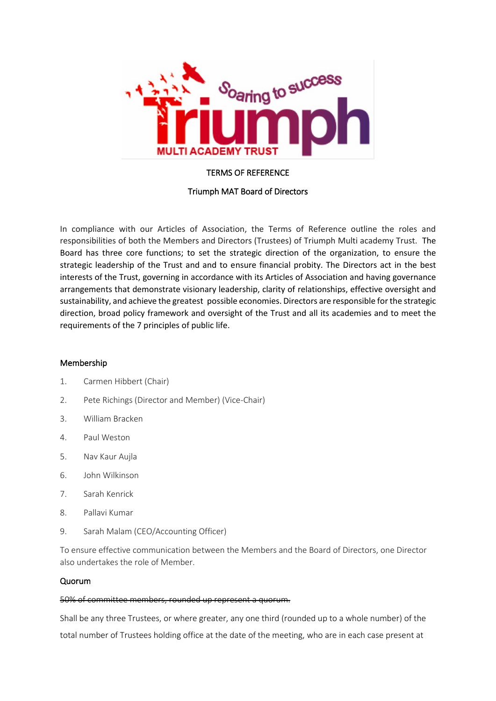

# TERMS OF REFERENCE

# Triumph MAT Board of Directors

In compliance with our Articles of Association, the Terms of Reference outline the roles and responsibilities of both the Members and Directors (Trustees) of Triumph Multi academy Trust. The Board has three core functions; to set the strategic direction of the organization, to ensure the strategic leadership of the Trust and and to ensure financial probity. The Directors act in the best interests of the Trust, governing in accordance with its Articles of Association and having governance arrangements that demonstrate visionary leadership, clarity of relationships, effective oversight and sustainability, and achieve the greatest possible economies. Directors are responsible for the strategic direction, broad policy framework and oversight of the Trust and all its academies and to meet the requirements of the 7 principles of public life.

#### Membership

- 1. Carmen Hibbert (Chair)
- 2. Pete Richings (Director and Member) (Vice-Chair)
- 3. William Bracken
- 4. Paul Weston
- 5. Nav Kaur Aujla
- 6. John Wilkinson
- 7. Sarah Kenrick
- 8. Pallavi Kumar
- 9. Sarah Malam (CEO/Accounting Officer)

To ensure effective communication between the Members and the Board of Directors, one Director also undertakes the role of Member.

#### Quorum

#### 50% of committee members, rounded up represent a quorum.

Shall be any three Trustees, or where greater, any one third (rounded up to a whole number) of the total number of Trustees holding office at the date of the meeting, who are in each case present at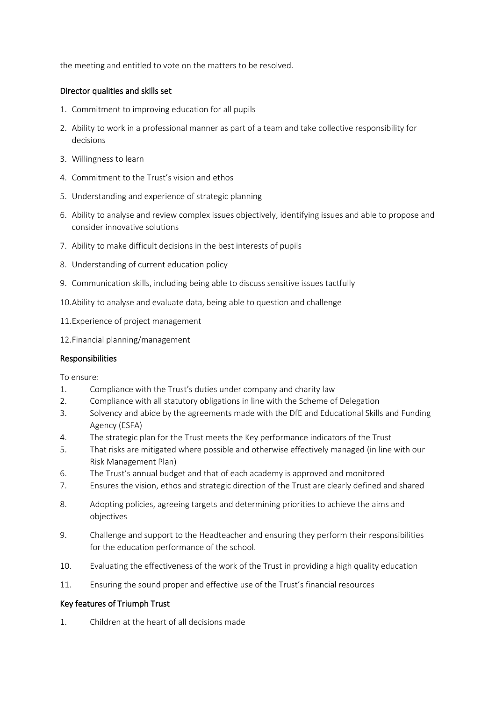the meeting and entitled to vote on the matters to be resolved.

### Director qualities and skills set

- 1. Commitment to improving education for all pupils
- 2. Ability to work in a professional manner as part of a team and take collective responsibility for decisions
- 3. Willingness to learn
- 4. Commitment to the Trust's vision and ethos
- 5. Understanding and experience of strategic planning
- 6. Ability to analyse and review complex issues objectively, identifying issues and able to propose and consider innovative solutions
- 7. Ability to make difficult decisions in the best interests of pupils
- 8. Understanding of current education policy
- 9. Communication skills, including being able to discuss sensitive issues tactfully
- 10.Ability to analyse and evaluate data, being able to question and challenge
- 11.Experience of project management
- 12.Financial planning/management

#### Responsibilities

To ensure:

- 1. Compliance with the Trust's duties under company and charity law
- 2. Compliance with all statutory obligations in line with the Scheme of Delegation
- 3. Solvency and abide by the agreements made with the DfE and Educational Skills and Funding Agency (ESFA)
- 4. The strategic plan for the Trust meets the Key performance indicators of the Trust
- 5. That risks are mitigated where possible and otherwise effectively managed (in line with our Risk Management Plan)
- 6. The Trust's annual budget and that of each academy is approved and monitored
- 7. Ensures the vision, ethos and strategic direction of the Trust are clearly defined and shared
- 8. Adopting policies, agreeing targets and determining priorities to achieve the aims and objectives
- 9. Challenge and support to the Headteacher and ensuring they perform their responsibilities for the education performance of the school.
- 10. Evaluating the effectiveness of the work of the Trust in providing a high quality education
- 11. Ensuring the sound proper and effective use of the Trust's financial resources

# Key features of Triumph Trust

1. Children at the heart of all decisions made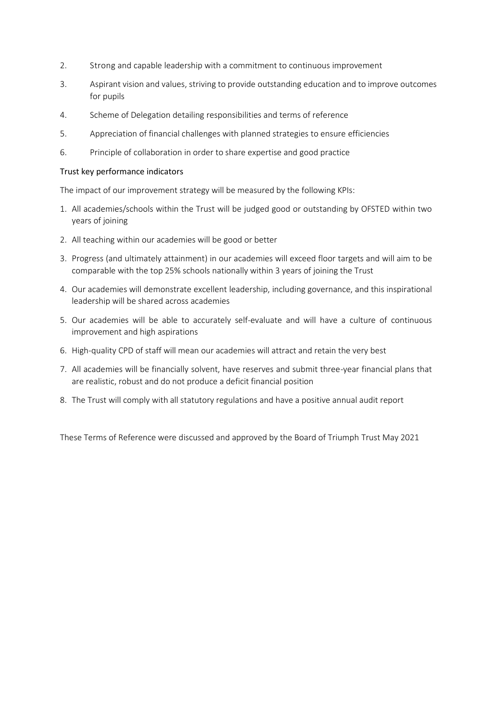- 2. Strong and capable leadership with a commitment to continuous improvement
- 3. Aspirant vision and values, striving to provide outstanding education and to improve outcomes for pupils
- 4. Scheme of Delegation detailing responsibilities and terms of reference
- 5. Appreciation of financial challenges with planned strategies to ensure efficiencies
- 6. Principle of collaboration in order to share expertise and good practice

### Trust key performance indicators

The impact of our improvement strategy will be measured by the following KPIs:

- 1. All academies/schools within the Trust will be judged good or outstanding by OFSTED within two years of joining
- 2. All teaching within our academies will be good or better
- 3. Progress (and ultimately attainment) in our academies will exceed floor targets and will aim to be comparable with the top 25% schools nationally within 3 years of joining the Trust
- 4. Our academies will demonstrate excellent leadership, including governance, and this inspirational leadership will be shared across academies
- 5. Our academies will be able to accurately self-evaluate and will have a culture of continuous improvement and high aspirations
- 6. High-quality CPD of staff will mean our academies will attract and retain the very best
- 7. All academies will be financially solvent, have reserves and submit three-year financial plans that are realistic, robust and do not produce a deficit financial position
- 8. The Trust will comply with all statutory regulations and have a positive annual audit report

These Terms of Reference were discussed and approved by the Board of Triumph Trust May 2021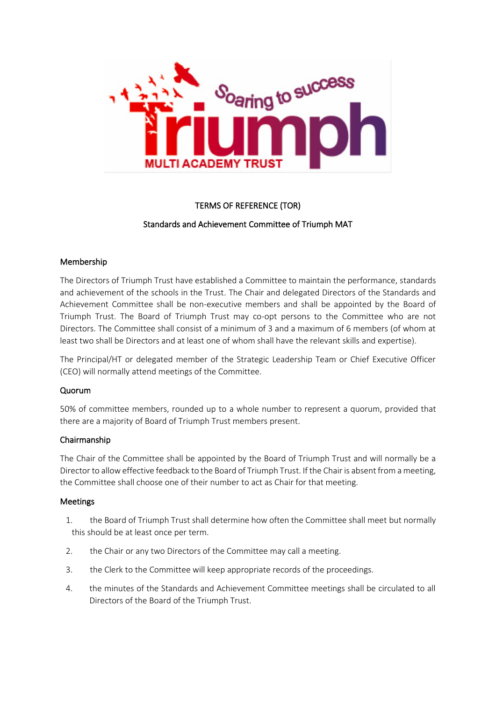

# TERMS OF REFERENCE (TOR)

### Standards and Achievement Committee of Triumph MAT

#### Membership

The Directors of Triumph Trust have established a Committee to maintain the performance, standards and achievement of the schools in the Trust. The Chair and delegated Directors of the Standards and Achievement Committee shall be non-executive members and shall be appointed by the Board of Triumph Trust. The Board of Triumph Trust may co-opt persons to the Committee who are not Directors. The Committee shall consist of a minimum of 3 and a maximum of 6 members (of whom at least two shall be Directors and at least one of whom shall have the relevant skills and expertise).

The Principal/HT or delegated member of the Strategic Leadership Team or Chief Executive Officer (CEO) will normally attend meetings of the Committee.

#### Quorum

50% of committee members, rounded up to a whole number to represent a quorum, provided that there are a majority of Board of Triumph Trust members present.

### Chairmanship

The Chair of the Committee shall be appointed by the Board of Triumph Trust and will normally be a Director to allow effective feedback to the Board of Triumph Trust. If the Chair is absent from a meeting, the Committee shall choose one of their number to act as Chair for that meeting.

#### Meetings

- 1. the Board of Triumph Trust shall determine how often the Committee shall meet but normally this should be at least once per term.
- 2. the Chair or any two Directors of the Committee may call a meeting.
- 3. the Clerk to the Committee will keep appropriate records of the proceedings.
- 4. the minutes of the Standards and Achievement Committee meetings shall be circulated to all Directors of the Board of the Triumph Trust.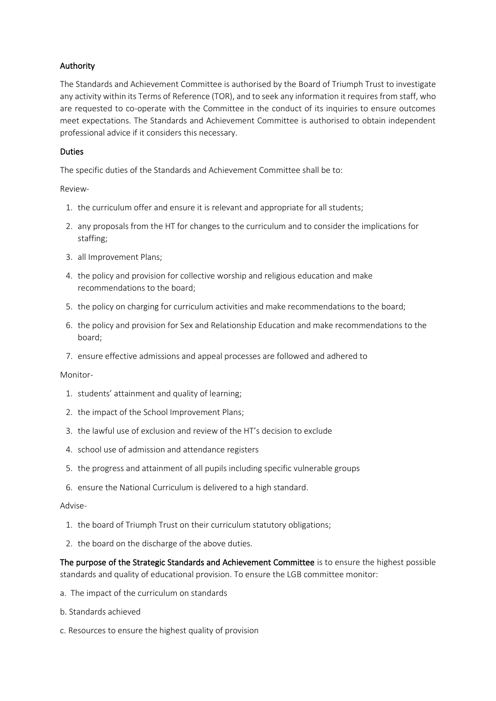# Authority

The Standards and Achievement Committee is authorised by the Board of Triumph Trust to investigate any activity within its Terms of Reference (TOR), and to seek any information it requires from staff, who are requested to co-operate with the Committee in the conduct of its inquiries to ensure outcomes meet expectations. The Standards and Achievement Committee is authorised to obtain independent professional advice if it considers this necessary.

# Duties

The specific duties of the Standards and Achievement Committee shall be to:

### Review-

- 1. the curriculum offer and ensure it is relevant and appropriate for all students;
- 2. any proposals from the HT for changes to the curriculum and to consider the implications for staffing;
- 3. all Improvement Plans;
- 4. the policy and provision for collective worship and religious education and make recommendations to the board;
- 5. the policy on charging for curriculum activities and make recommendations to the board;
- 6. the policy and provision for Sex and Relationship Education and make recommendations to the board;
- 7. ensure effective admissions and appeal processes are followed and adhered to

#### Monitor-

- 1. students' attainment and quality of learning;
- 2. the impact of the School Improvement Plans;
- 3. the lawful use of exclusion and review of the HT's decision to exclude
- 4. school use of admission and attendance registers
- 5. the progress and attainment of all pupils including specific vulnerable groups
- 6. ensure the National Curriculum is delivered to a high standard.

#### Advise-

- 1. the board of Triumph Trust on their curriculum statutory obligations;
- 2. the board on the discharge of the above duties.

The purpose of the Strategic Standards and Achievement Committee is to ensure the highest possible standards and quality of educational provision. To ensure the LGB committee monitor:

- a. The impact of the curriculum on standards
- b. Standards achieved
- c. Resources to ensure the highest quality of provision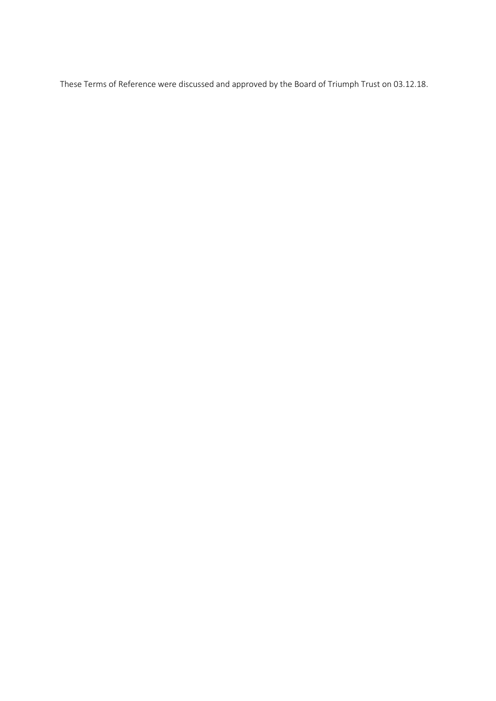These Terms of Reference were discussed and approved by the Board of Triumph Trust on 03.12.18.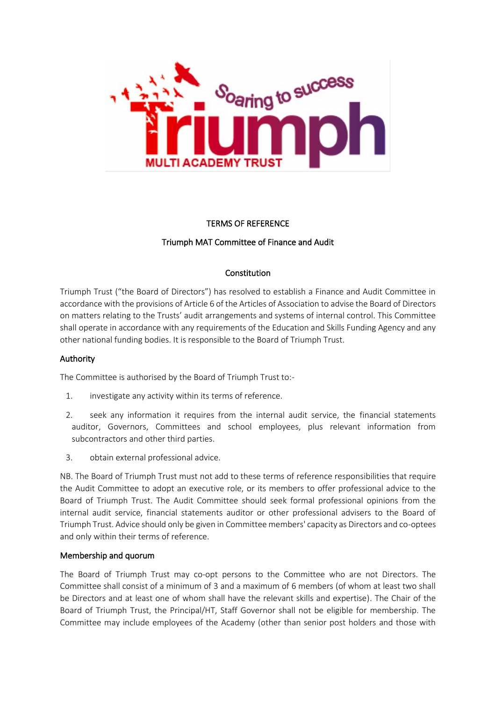

#### TERMS OF REFERENCE

# Triumph MAT Committee of Finance and Audit

#### Constitution

Triumph Trust ("the Board of Directors") has resolved to establish a Finance and Audit Committee in accordance with the provisions of Article 6 of the Articles of Association to advise the Board of Directors on matters relating to the Trusts' audit arrangements and systems of internal control. This Committee shall operate in accordance with any requirements of the Education and Skills Funding Agency and any other national funding bodies. It is responsible to the Board of Triumph Trust.

#### Authority

The Committee is authorised by the Board of Triumph Trust to:-

- 1. investigate any activity within its terms of reference.
- 2. seek any information it requires from the internal audit service, the financial statements auditor, Governors, Committees and school employees, plus relevant information from subcontractors and other third parties.
- 3. obtain external professional advice.

NB. The Board of Triumph Trust must not add to these terms of reference responsibilities that require the Audit Committee to adopt an executive role, or its members to offer professional advice to the Board of Triumph Trust. The Audit Committee should seek formal professional opinions from the internal audit service, financial statements auditor or other professional advisers to the Board of Triumph Trust. Advice should only be given in Committee members' capacity as Directors and co-optees and only within their terms of reference.

#### Membership and quorum

The Board of Triumph Trust may co-opt persons to the Committee who are not Directors. The Committee shall consist of a minimum of 3 and a maximum of 6 members (of whom at least two shall be Directors and at least one of whom shall have the relevant skills and expertise). The Chair of the Board of Triumph Trust, the Principal/HT, Staff Governor shall not be eligible for membership. The Committee may include employees of the Academy (other than senior post holders and those with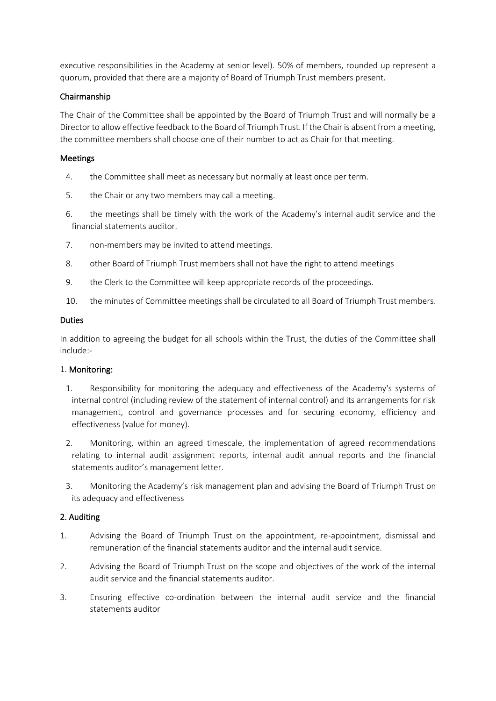executive responsibilities in the Academy at senior level). 50% of members, rounded up represent a quorum, provided that there are a majority of Board of Triumph Trust members present.

### Chairmanship

The Chair of the Committee shall be appointed by the Board of Triumph Trust and will normally be a Director to allow effective feedback to the Board of Triumph Trust. If the Chair is absent from a meeting, the committee members shall choose one of their number to act as Chair for that meeting.

### Meetings

- 4. the Committee shall meet as necessary but normally at least once per term.
- 5. the Chair or any two members may call a meeting.
- 6. the meetings shall be timely with the work of the Academy's internal audit service and the financial statements auditor.
- 7. non-members may be invited to attend meetings.
- 8. other Board of Triumph Trust members shall not have the right to attend meetings
- 9. the Clerk to the Committee will keep appropriate records of the proceedings.
- 10. the minutes of Committee meetings shall be circulated to all Board of Triumph Trust members.

#### Duties

In addition to agreeing the budget for all schools within the Trust, the duties of the Committee shall include:-

#### 1. Monitoring:

- 1. Responsibility for monitoring the adequacy and effectiveness of the Academy's systems of internal control (including review of the statement of internal control) and its arrangements for risk management, control and governance processes and for securing economy, efficiency and effectiveness (value for money).
- 2. Monitoring, within an agreed timescale, the implementation of agreed recommendations relating to internal audit assignment reports, internal audit annual reports and the financial statements auditor's management letter.
- 3. Monitoring the Academy's risk management plan and advising the Board of Triumph Trust on its adequacy and effectiveness

#### 2. Auditing

- 1. Advising the Board of Triumph Trust on the appointment, re-appointment, dismissal and remuneration of the financial statements auditor and the internal audit service.
- 2. Advising the Board of Triumph Trust on the scope and objectives of the work of the internal audit service and the financial statements auditor.
- 3. Ensuring effective co-ordination between the internal audit service and the financial statements auditor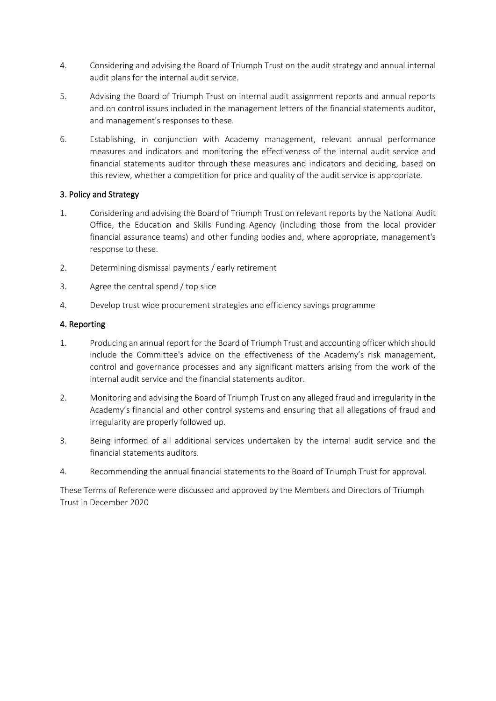- 4. Considering and advising the Board of Triumph Trust on the audit strategy and annual internal audit plans for the internal audit service.
- 5. Advising the Board of Triumph Trust on internal audit assignment reports and annual reports and on control issues included in the management letters of the financial statements auditor, and management's responses to these.
- 6. Establishing, in conjunction with Academy management, relevant annual performance measures and indicators and monitoring the effectiveness of the internal audit service and financial statements auditor through these measures and indicators and deciding, based on this review, whether a competition for price and quality of the audit service is appropriate.

# 3. Policy and Strategy

- 1. Considering and advising the Board of Triumph Trust on relevant reports by the National Audit Office, the Education and Skills Funding Agency (including those from the local provider financial assurance teams) and other funding bodies and, where appropriate, management's response to these.
- 2. Determining dismissal payments / early retirement
- 3. Agree the central spend / top slice
- 4. Develop trust wide procurement strategies and efficiency savings programme

# 4. Reporting

- 1. Producing an annual report for the Board of Triumph Trust and accounting officer which should include the Committee's advice on the effectiveness of the Academy's risk management, control and governance processes and any significant matters arising from the work of the internal audit service and the financial statements auditor.
- 2. Monitoring and advising the Board of Triumph Trust on any alleged fraud and irregularity in the Academy's financial and other control systems and ensuring that all allegations of fraud and irregularity are properly followed up.
- 3. Being informed of all additional services undertaken by the internal audit service and the financial statements auditors.
- 4. Recommending the annual financial statements to the Board of Triumph Trust for approval.

These Terms of Reference were discussed and approved by the Members and Directors of Triumph Trust in December 2020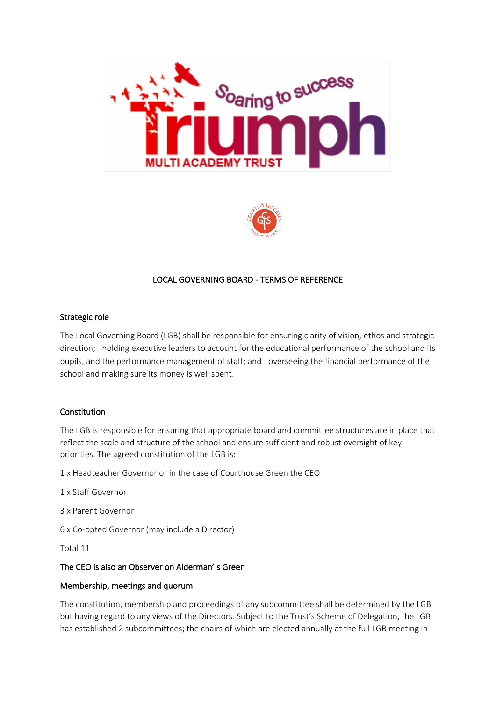



# LOCAL GOVERNING BOARD - TERMS OF REFERENCE

### Strategic role

The Local Governing Board (LGB) shall be responsible for ensuring clarity of vision, ethos and strategic direction; holding executive leaders to account for the educational performance of the school and its pupils, and the performance management of staff; and overseeing the financial performance of the school and making sure its money is well spent.

# Constitution

The LGB is responsible for ensuring that appropriate board and committee structures are in place that reflect the scale and structure of the school and ensure sufficient and robust oversight of key priorities. The agreed constitution of the LGB is:

1 x Headteacher Governor or in the case of Courthouse Green the CEO

1 x Staff Governor

3 x Parent Governor

6 x Co-opted Governor (may include a Director)

Total 11

# The CEO is also an Observer on Alderman' s Green

#### Membership, meetings and quorum

The constitution, membership and proceedings of any subcommittee shall be determined by the LGB but having regard to any views of the Directors. Subject to the Trust's Scheme of Delegation, the LGB has established 2 subcommittees; the chairs of which are elected annually at the full LGB meeting in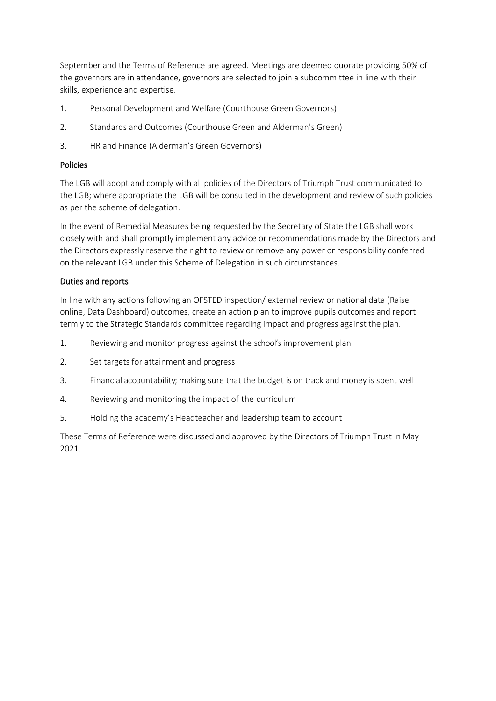September and the Terms of Reference are agreed. Meetings are deemed quorate providing 50% of the governors are in attendance, governors are selected to join a subcommittee in line with their skills, experience and expertise.

- 1. Personal Development and Welfare (Courthouse Green Governors)
- 2. Standards and Outcomes (Courthouse Green and Alderman's Green)
- 3. HR and Finance (Alderman's Green Governors)

# Policies

The LGB will adopt and comply with all policies of the Directors of Triumph Trust communicated to the LGB; where appropriate the LGB will be consulted in the development and review of such policies as per the scheme of delegation.

In the event of Remedial Measures being requested by the Secretary of State the LGB shall work closely with and shall promptly implement any advice or recommendations made by the Directors and the Directors expressly reserve the right to review or remove any power or responsibility conferred on the relevant LGB under this Scheme of Delegation in such circumstances.

# Duties and reports

In line with any actions following an OFSTED inspection/ external review or national data (Raise online, Data Dashboard) outcomes, create an action plan to improve pupils outcomes and report termly to the Strategic Standards committee regarding impact and progress against the plan.

- 1. Reviewing and monitor progress against the school'simprovement plan
- 2. Set targets for attainment and progress
- 3. Financial accountability; making sure that the budget is on track and money is spent well
- 4. Reviewing and monitoring the impact of the curriculum
- 5. Holding the academy's Headteacher and leadership team to account

These Terms of Reference were discussed and approved by the Directors of Triumph Trust in May 2021.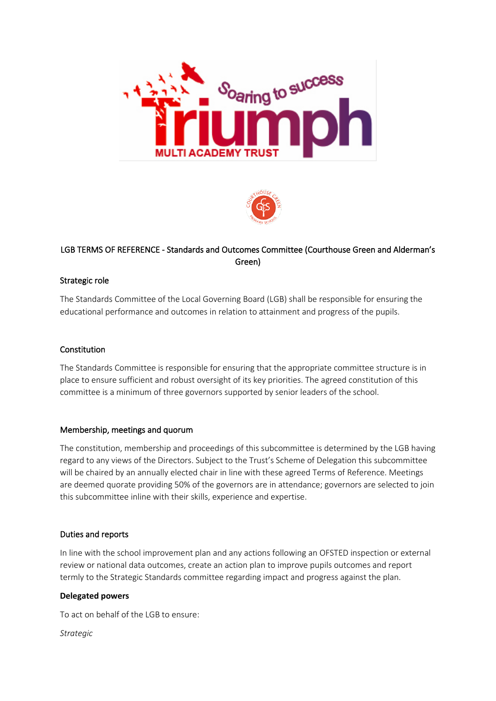



# LGB TERMS OF REFERENCE - Standards and Outcomes Committee (Courthouse Green and Alderman's Green)

# Strategic role

The Standards Committee of the Local Governing Board (LGB) shall be responsible for ensuring the educational performance and outcomes in relation to attainment and progress of the pupils.

### Constitution

The Standards Committee is responsible for ensuring that the appropriate committee structure is in place to ensure sufficient and robust oversight of its key priorities. The agreed constitution of this committee is a minimum of three governors supported by senior leaders of the school.

# Membership, meetings and quorum

The constitution, membership and proceedings of this subcommittee is determined by the LGB having regard to any views of the Directors. Subject to the Trust's Scheme of Delegation this subcommittee will be chaired by an annually elected chair in line with these agreed Terms of Reference. Meetings are deemed quorate providing 50% of the governors are in attendance; governors are selected to join this subcommittee inline with their skills, experience and expertise.

#### Duties and reports

In line with the school improvement plan and any actions following an OFSTED inspection or external review or national data outcomes, create an action plan to improve pupils outcomes and report termly to the Strategic Standards committee regarding impact and progress against the plan.

#### **Delegated powers**

To act on behalf of the LGB to ensure:

*Strategic*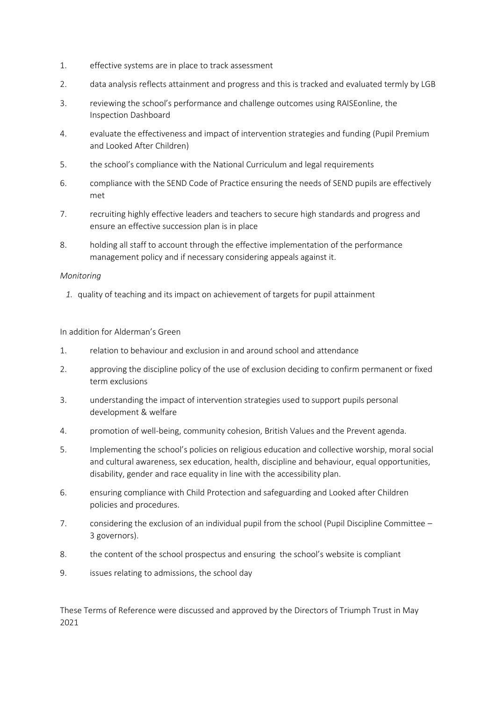- 1. effective systems are in place to track assessment
- 2. data analysis reflects attainment and progress and this is tracked and evaluated termly by LGB
- 3. reviewing the school's performance and challenge outcomes using RAISEonline, the Inspection Dashboard
- 4. evaluate the effectiveness and impact of intervention strategies and funding (Pupil Premium and Looked After Children)
- 5. the school's compliance with the National Curriculum and legal requirements
- 6. compliance with the SEND Code of Practice ensuring the needs of SEND pupils are effectively met
- 7. recruiting highly effective leaders and teachers to secure high standards and progress and ensure an effective succession plan is in place
- 8. holding all staff to account through the effective implementation of the performance management policy and if necessary considering appeals against it.

### *Monitoring*

*1.* quality of teaching and its impact on achievement of targets for pupil attainment

In addition for Alderman's Green

- 1. relation to behaviour and exclusion in and around school and attendance
- 2. approving the discipline policy of the use of exclusion deciding to confirm permanent or fixed term exclusions
- 3. understanding the impact of intervention strategies used to support pupils personal development & welfare
- 4. promotion of well-being, community cohesion, British Values and the Prevent agenda.
- 5. Implementing the school's policies on religious education and collective worship, moral social and cultural awareness, sex education, health, discipline and behaviour, equal opportunities, disability, gender and race equality in line with the accessibility plan.
- 6. ensuring compliance with Child Protection and safeguarding and Looked after Children policies and procedures.
- 7. considering the exclusion of an individual pupil from the school (Pupil Discipline Committee 3 governors).
- 8. the content of the school prospectus and ensuring the school's website is compliant
- 9. issues relating to admissions, the school day

These Terms of Reference were discussed and approved by the Directors of Triumph Trust in May 2021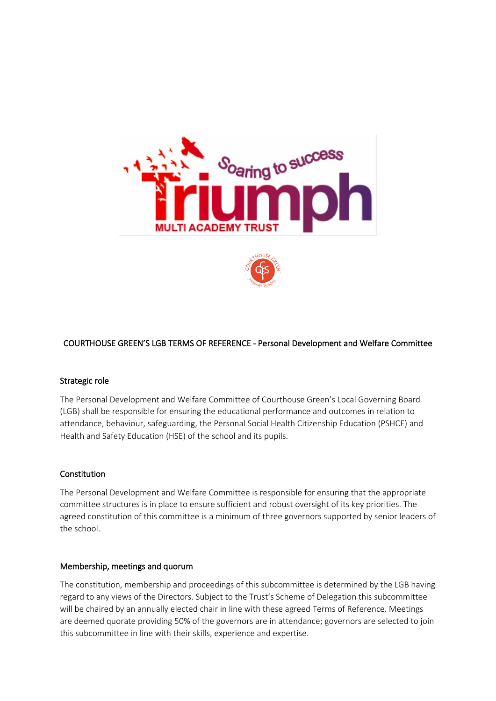



# COURTHOUSE GREEN'S LGB TERMS OF REFERENCE - Personal Development and Welfare Committee

#### Strategic role

The Personal Development and Welfare Committee of Courthouse Green's Local Governing Board (LGB) shall be responsible for ensuring the educational performance and outcomes in relation to attendance, behaviour, safeguarding, the Personal Social Health Citizenship Education (PSHCE) and Health and Safety Education (HSE) of the school and its pupils.

#### Constitution

The Personal Development and Welfare Committee is responsible for ensuring that the appropriate committee structures is in place to ensure sufficient and robust oversight of its key priorities. The agreed constitution of this committee is a minimum of three governors supported by senior leaders of the school.

#### Membership, meetings and quorum

The constitution, membership and proceedings of this subcommittee is determined by the LGB having regard to any views of the Directors. Subject to the Trust's Scheme of Delegation this subcommittee will be chaired by an annually elected chair in line with these agreed Terms of Reference. Meetings are deemed quorate providing 50% of the governors are in attendance; governors are selected to join this subcommittee in line with their skills, experience and expertise.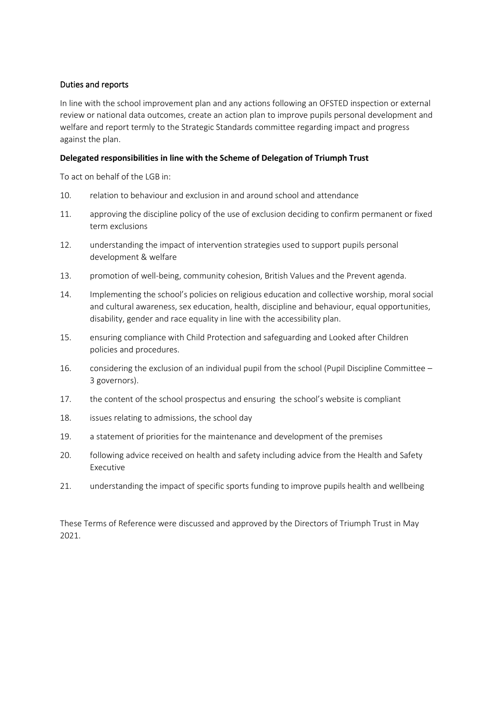# Duties and reports

In line with the school improvement plan and any actions following an OFSTED inspection or external review or national data outcomes, create an action plan to improve pupils personal development and welfare and report termly to the Strategic Standards committee regarding impact and progress against the plan.

### **Delegated responsibilities in line with the Scheme of Delegation of Triumph Trust**

To act on behalf of the LGB in:

- 10. relation to behaviour and exclusion in and around school and attendance
- 11. approving the discipline policy of the use of exclusion deciding to confirm permanent or fixed term exclusions
- 12. understanding the impact of intervention strategies used to support pupils personal development & welfare
- 13. promotion of well-being, community cohesion, British Values and the Prevent agenda.
- 14. Implementing the school's policies on religious education and collective worship, moral social and cultural awareness, sex education, health, discipline and behaviour, equal opportunities, disability, gender and race equality in line with the accessibility plan.
- 15. ensuring compliance with Child Protection and safeguarding and Looked after Children policies and procedures.
- 16. considering the exclusion of an individual pupil from the school (Pupil Discipline Committee 3 governors).
- 17. the content of the school prospectus and ensuring the school's website is compliant
- 18. issues relating to admissions, the school day
- 19. a statement of priorities for the maintenance and development of the premises
- 20. following advice received on health and safety including advice from the Health and Safety Executive
- 21. understanding the impact of specific sports funding to improve pupils health and wellbeing

These Terms of Reference were discussed and approved by the Directors of Triumph Trust in May 2021.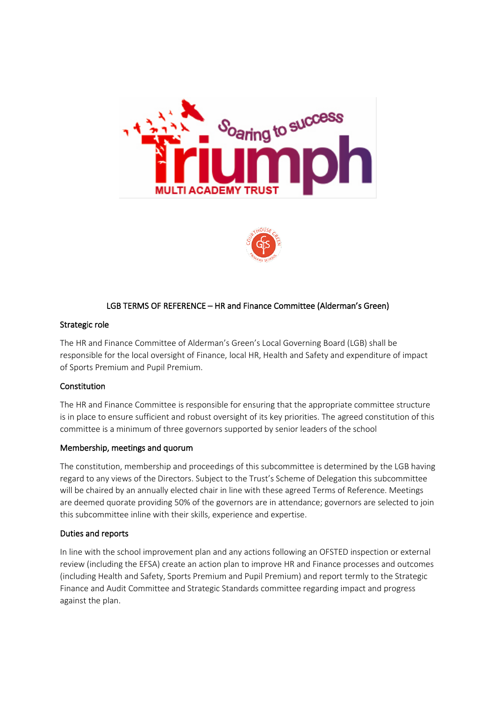



# LGB TERMS OF REFERENCE – HR and Finance Committee (Alderman's Green)

#### Strategic role

The HR and Finance Committee of Alderman's Green's Local Governing Board (LGB) shall be responsible for the local oversight of Finance, local HR, Health and Safety and expenditure of impact of Sports Premium and Pupil Premium.

# Constitution

The HR and Finance Committee is responsible for ensuring that the appropriate committee structure is in place to ensure sufficient and robust oversight of its key priorities. The agreed constitution of this committee is a minimum of three governors supported by senior leaders of the school

#### Membership, meetings and quorum

The constitution, membership and proceedings of this subcommittee is determined by the LGB having regard to any views of the Directors. Subject to the Trust's Scheme of Delegation this subcommittee will be chaired by an annually elected chair in line with these agreed Terms of Reference. Meetings are deemed quorate providing 50% of the governors are in attendance; governors are selected to join this subcommittee inline with their skills, experience and expertise.

#### Duties and reports

In line with the school improvement plan and any actions following an OFSTED inspection or external review (including the EFSA) create an action plan to improve HR and Finance processes and outcomes (including Health and Safety, Sports Premium and Pupil Premium) and report termly to the Strategic Finance and Audit Committee and Strategic Standards committee regarding impact and progress against the plan.